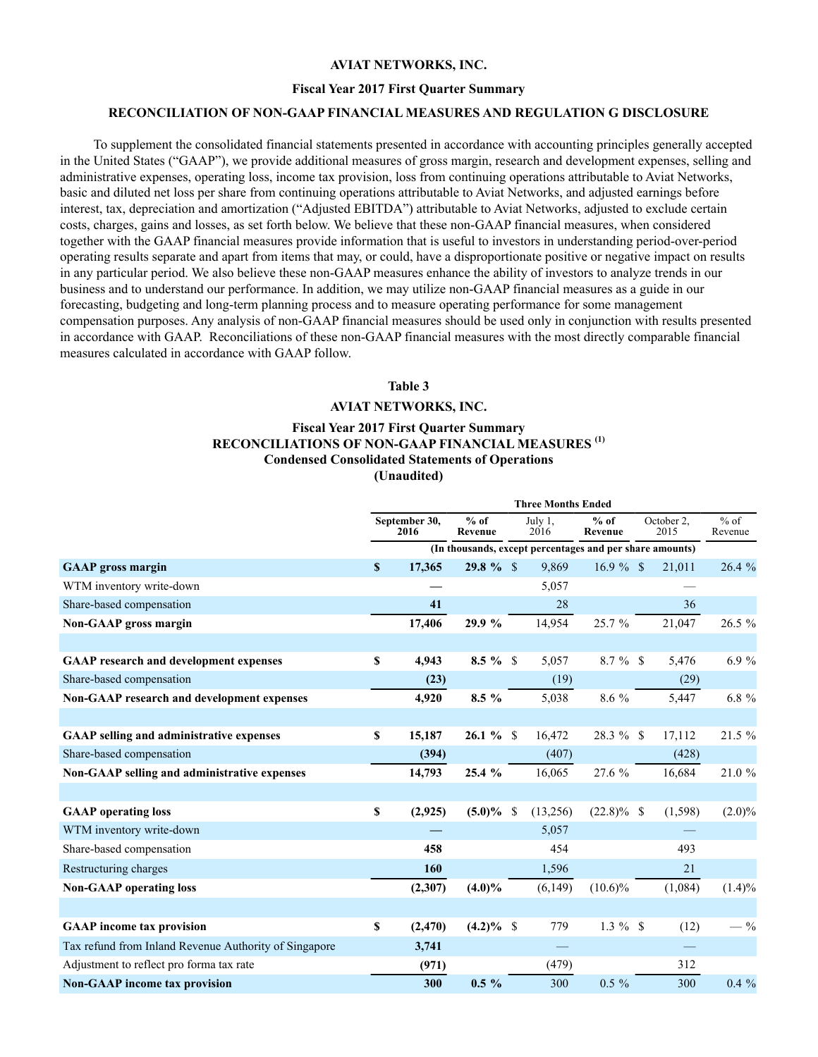## **AVIAT NETWORKS, INC.**

## **Fiscal Year 2017 First Quarter Summary**

## **RECONCILIATION OF NON-GAAP FINANCIAL MEASURES AND REGULATION G DISCLOSURE**

To supplement the consolidated financial statements presented in accordance with accounting principles generally accepted in the United States ("GAAP"), we provide additional measures of gross margin, research and development expenses, selling and administrative expenses, operating loss, income tax provision, loss from continuing operations attributable to Aviat Networks, basic and diluted net loss per share from continuing operations attributable to Aviat Networks, and adjusted earnings before interest, tax, depreciation and amortization ("Adjusted EBITDA") attributable to Aviat Networks, adjusted to exclude certain costs, charges, gains and losses, as set forth below. We believe that these non-GAAP financial measures, when considered together with the GAAP financial measures provide information that is useful to investors in understanding period-over-period operating results separate and apart from items that may, or could, have a disproportionate positive or negative impact on results in any particular period. We also believe these non-GAAP measures enhance the ability of investors to analyze trends in our business and to understand our performance. In addition, we may utilize non-GAAP financial measures as a guide in our forecasting, budgeting and long-term planning process and to measure operating performance for some management compensation purposes. Any analysis of non-GAAP financial measures should be used only in conjunction with results presented in accordance with GAAP. Reconciliations of these non-GAAP financial measures with the most directly comparable financial measures calculated in accordance with GAAP follow.

#### **Table 3**

### **AVIAT NETWORKS, INC.**

# **Fiscal Year 2017 First Quarter Summary RECONCILIATIONS OF NON-GAAP FINANCIAL MEASURES (1) Condensed Consolidated Statements of Operations (Unaudited)**

|                                                       | <b>Three Months Ended</b>                                |          |                   |                 |          |                   |                    |          |                   |  |  |
|-------------------------------------------------------|----------------------------------------------------------|----------|-------------------|-----------------|----------|-------------------|--------------------|----------|-------------------|--|--|
|                                                       | September 30,<br>2016                                    |          | $%$ of<br>Revenue | July 1.<br>2016 |          | $%$ of<br>Revenue | October 2,<br>2015 |          | $%$ of<br>Revenue |  |  |
|                                                       | (In thousands, except percentages and per share amounts) |          |                   |                 |          |                   |                    |          |                   |  |  |
| <b>GAAP</b> gross margin                              | $\mathbf{s}$                                             | 17,365   | $29.8 \%$         |                 | 9,869    | $16.9 \%$ \$      |                    | 21,011   | 26.4%             |  |  |
| WTM inventory write-down                              |                                                          |          |                   |                 | 5,057    |                   |                    |          |                   |  |  |
| Share-based compensation                              |                                                          | 41       |                   |                 | 28       |                   |                    | 36       |                   |  |  |
| <b>Non-GAAP</b> gross margin                          |                                                          | 17,406   | 29.9 %            |                 | 14,954   | 25.7 %            |                    | 21,047   | 26.5 %            |  |  |
|                                                       |                                                          |          |                   |                 |          |                   |                    |          |                   |  |  |
| <b>GAAP</b> research and development expenses         | \$                                                       | 4,943    | $8.5 \%$ \$       |                 | 5,057    | $8.7 \%$ \$       |                    | 5,476    | 6.9%              |  |  |
| Share-based compensation                              |                                                          | (23)     |                   |                 | (19)     |                   |                    | (29)     |                   |  |  |
| Non-GAAP research and development expenses            |                                                          | 4,920    | $8.5\%$           |                 | 5,038    | $8.6\%$           |                    | 5,447    | 6.8 $%$           |  |  |
|                                                       |                                                          |          |                   |                 |          |                   |                    |          |                   |  |  |
| <b>GAAP selling and administrative expenses</b>       | \$                                                       | 15,187   | $26.1 \%$ \$      |                 | 16,472   | 28.3 % \$         |                    | 17,112   | 21.5 %            |  |  |
| Share-based compensation                              |                                                          | (394)    |                   |                 | (407)    |                   |                    | (428)    |                   |  |  |
| Non-GAAP selling and administrative expenses          |                                                          | 14,793   | 25.4%             |                 | 16,065   | 27.6 %            |                    | 16,684   | 21.0 %            |  |  |
|                                                       |                                                          |          |                   |                 |          |                   |                    |          |                   |  |  |
| <b>GAAP</b> operating loss                            | \$                                                       | (2,925)  | $(5.0)\%$         | S               | (13,256) | $(22.8)\%$ \$     |                    | (1, 598) | $(2.0)\%$         |  |  |
| WTM inventory write-down                              |                                                          |          |                   |                 | 5,057    |                   |                    |          |                   |  |  |
| Share-based compensation                              |                                                          | 458      |                   |                 | 454      |                   |                    | 493      |                   |  |  |
| Restructuring charges                                 |                                                          | 160      |                   |                 | 1,596    |                   |                    | 21       |                   |  |  |
| <b>Non-GAAP</b> operating loss                        |                                                          | (2,307)  | $(4.0)\%$         |                 | (6,149)  | $(10.6)\%$        |                    | (1,084)  | $(1.4)\%$         |  |  |
|                                                       |                                                          |          |                   |                 |          |                   |                    |          |                   |  |  |
| <b>GAAP</b> income tax provision                      | S                                                        | (2, 470) | $(4.2)\%$ \$      |                 | 779      | $1.3 \%$ \$       |                    | (12)     | $-$ %             |  |  |
| Tax refund from Inland Revenue Authority of Singapore |                                                          | 3,741    |                   |                 |          |                   |                    |          |                   |  |  |
| Adjustment to reflect pro forma tax rate              |                                                          | (971)    |                   |                 | (479)    |                   |                    | 312      |                   |  |  |
| <b>Non-GAAP</b> income tax provision                  |                                                          | 300      | $0.5\%$           |                 | 300      | $0.5 \%$          |                    | 300      | $0.4\%$           |  |  |